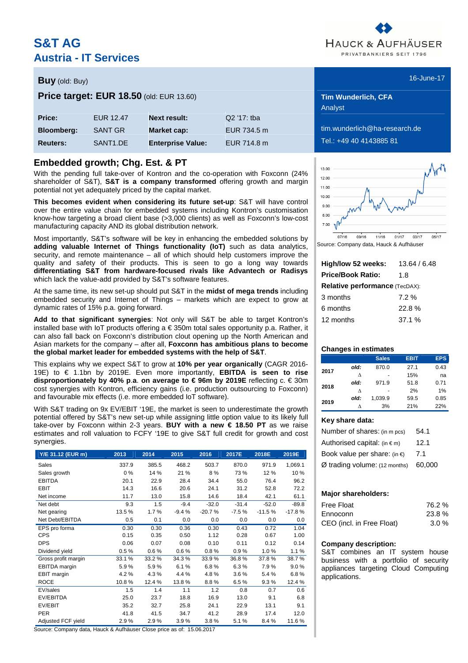# **S&T AG Austria - IT Services**



# **Buy** (old: Buy) 16-June-17 (and the contract of the contract of the contract of the contract of the contract of the contract of the contract of the contract of the contract of the contract of the contract of the contract

**Price target: EUR 18.50** (old: EUR 13.60) **Tim Wunderlich, CFA** 

|                   |                      |                          |               | <b>Analyst</b>          |
|-------------------|----------------------|--------------------------|---------------|-------------------------|
| Price:            | EUR 12.47            | <b>Next result:</b>      | $Q2'17$ : tba |                         |
| <b>Bloomberg:</b> | SANT GR              | Market cap:              | EUR 734.5 m   | tim.wunderlich@ha-resea |
| <b>Reuters:</b>   | SANT <sub>1.DE</sub> | <b>Enterprise Value:</b> | EUR 714.8 m   | Tel.: +49 40 4143885 81 |

### **Embedded growth; Chg. Est. & PT**

With the pending full take-over of Kontron and the co-operation with Foxconn (24% shareholder of S&T), **S&T is a company transformed** offering growth and margin potential not yet adequately priced by the capital market.

**This becomes evident when considering its future set-up**: S&T will have control over the entire value chain for embedded systems including Kontron's customisation know-how targeting a broad client base (>3,000 clients) as well as Foxconn's low-cost manufacturing capacity AND its global distribution network.

Most importantly, S&T's software will be key in enhancing the embedded solutions by **adding valuable Internet of Things functionality (IoT)** such as data analytics, security, and remote maintenance – all of which should help customers improve the quality and safety of their products. This is seen to go a long way towards **differentiating S&T from hardware-focused rivals like Advantech or Radisys** which lack the value-add provided by S&T's software features.

At the same time, its new set-up should put S&T in the **midst of mega trends** including embedded security and Internet of Things – markets which are expect to grow at dynamic rates of 15% p.a. going forward.

**Add to that significant synergies**: Not only will S&T be able to target Kontron's installed base with IoT products offering a € 350m total sales opportunity p.a. Rather, it can also fall back on Foxconn's distribution clout opening up the North American and Asian markets for the company – after all, **Foxconn has ambitious plans to become the global market leader for embedded systems with the help of S&T**.

This explains why we expect S&T to grow at **10% per year organically** (CAGR 2016- 19E) to € 1.1bn by 2019E. Even more importantly, **EBITDA is seen to rise disproportionately by 40% p**.**a**. **on average to € 96m by 2019E** reflecting c. € 30m cost synergies with Kontron, efficiency gains (i.e. production outsourcing to Foxconn) and favourable mix effects (i.e. more embedded IoT software).

With S&T trading on 9x EV/EBIT '19E, the market is seen to underestimate the growth potential offered by S&T's new set-up while assigning little option value to its likely full take-over by Foxconn within 2-3 years. **BUY with a new € 18.50 PT** as we raise estimates and roll valuation to FCFY '19E to give S&T full credit for growth and cost synergies.

| Y/E 31.12 (EUR m)   | 2013   | 2014   | 2015    | 2016     | 2017E   | 2018E    | 2019E    |
|---------------------|--------|--------|---------|----------|---------|----------|----------|
| Sales               | 337.9  | 385.5  | 468.2   | 503.7    | 870.0   | 971.9    | 1,069.1  |
| Sales growth        | $0\%$  | 14 %   | 21 %    | 8%       | 73 %    | 12 %     | 10%      |
| <b>EBITDA</b>       | 20.1   | 22.9   | 28.4    | 34.4     | 55.0    | 76.4     | 96.2     |
| <b>EBIT</b>         | 14.3   | 16.6   | 20.6    | 24.1     | 31.2    | 52.8     | 72.2     |
| Net income          | 11.7   | 13.0   | 15.8    | 14.6     | 18.4    | 42.1     | 61.1     |
| Net debt            | 9.3    | 1.5    | $-9.4$  | $-32.0$  | $-31.4$ | $-52.0$  | $-89.8$  |
| Net gearing         | 13.5%  | 1.7%   | $-9.4%$ | $-20.7%$ | $-7.5%$ | $-11.5%$ | $-17.8%$ |
| Net Debt/EBITDA     | 0.5    | 0.1    | 0.0     | 0.0      | 0.0     | 0.0      | $0.0\,$  |
| EPS pro forma       | 0.30   | 0.30   | 0.36    | 0.30     | 0.43    | 0.72     | 1.04     |
| <b>CPS</b>          | 0.15   | 0.35   | 0.50    | 1.12     | 0.28    | 0.67     | 1.00     |
| <b>DPS</b>          | 0.06   | 0.07   | 0.08    | 0.10     | 0.11    | 0.12     | 0.14     |
| Dividend yield      | 0.5%   | 0.6%   | 0.6%    | 0.8%     | 0.9%    | 1.0%     | 1.1%     |
| Gross profit margin | 33.1 % | 33.2%  | 34.3%   | 33.9%    | 36.8%   | 37.8%    | 38.7%    |
| EBITDA margin       | 5.9%   | 5.9%   | 6.1%    | 6.8%     | 6.3%    | 7.9%     | 9.0%     |
| <b>EBIT</b> margin  | 4.2%   | 4.3%   | 4.4 %   | 4.8%     | 3.6%    | 5.4%     | 6.8%     |
| <b>ROCE</b>         | 10.8%  | 12.4 % | 13.8%   | 8.8%     | 6.5%    | 9.3%     | 12.4 %   |
| EV/sales            | 1.5    | 1.4    | 1.1     | 1.2      | 0.8     | 0.7      | 0.6      |
| EV/EBITDA           | 25.0   | 23.7   | 18.8    | 16.9     | 13.0    | 9.1      | 6.8      |
| EV/EBIT             | 35.2   | 32.7   | 25.8    | 24.1     | 22.9    | 13.1     | 9.1      |
| <b>PER</b>          | 41.8   | 41.5   | 34.7    | 41.2     | 28.9    | 17.4     | 12.0     |
| Adjusted FCF yield  | 2.9%   | 2.9%   | 3.9%    | 3.8%     | 5.1%    | 8.4%     | 11.6%    |

Source: Company data, Hauck & Aufhäuser Close price as of: 15.06.2017

Analyst

 $derlich @ha-research.de$ 



Source: Company data, Hauck & Aufhäuser

| High/low 52 weeks:                    | 13.64 / 6.48 |  |  |  |  |  |  |
|---------------------------------------|--------------|--|--|--|--|--|--|
| <b>Price/Book Ratio:</b>              | 1.8          |  |  |  |  |  |  |
| <b>Relative performance (TecDAX):</b> |              |  |  |  |  |  |  |
| 3 months                              | 72%          |  |  |  |  |  |  |
| 6 months                              | 22.8%        |  |  |  |  |  |  |
| 12 months                             | 37.1%        |  |  |  |  |  |  |

### **Changes in estimates**

|      |      | <b>Sales</b> | <b>EBIT</b> | <b>EPS</b> |
|------|------|--------------|-------------|------------|
| 2017 | old: | 870.0        | 27.1        | 0.43       |
|      | л    |              | 15%         | na         |
| 2018 | old: | 971.9        | 51.8        | 0.71       |
|      | ٨    |              | 2%          | 1%         |
| 2019 | old: | 1.039.9      | 59.5        | 0.85       |
|      |      | 3%           | 21%         | 22%        |

### **Key share data:**

| Number of shares: (in m pcs)           | 54.1   |
|----------------------------------------|--------|
| Authorised capital: $(in \in m)$       | 12.1   |
| Book value per share: (in $\epsilon$ ) | 7.1    |
| $Ø$ trading volume: (12 months)        | 60,000 |

### **Major shareholders:**

| <b>Free Float</b>         | 76.2% |
|---------------------------|-------|
| Ennoconn                  | 23.8% |
| CEO (incl. in Free Float) | 3.0%  |

### **Company description:**

S&T combines an IT system house business with a portfolio of security appliances targeting Cloud Computing applications.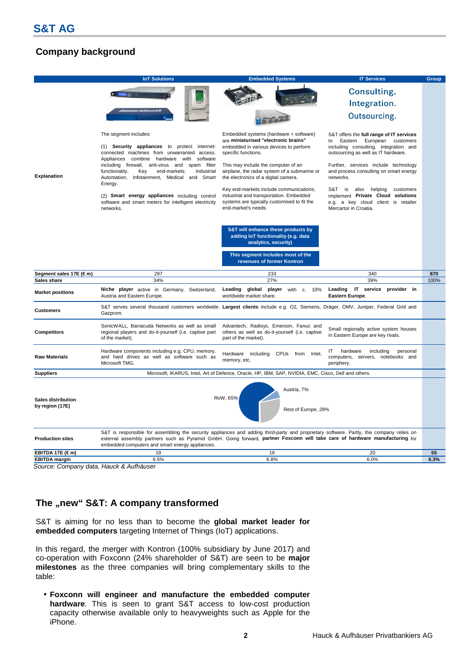# **Company background**



Source: Company data, Hauck & Aufhäuser

# The "new" S&T: A company transformed

S&T is aiming for no less than to become the **global market leader for embedded computers** targeting Internet of Things (IoT) applications.

In this regard, the merger with Kontron (100% subsidiary by June 2017) and co-operation with Foxconn (24% shareholder of S&T) are seen to be **major milestones** as the three companies will bring complementary skills to the table:

• **Foxconn will engineer and manufacture the embedded computer hardware**. This is seen to grant S&T access to low-cost production capacity otherwise available only to heavyweights such as Apple for the iPhone.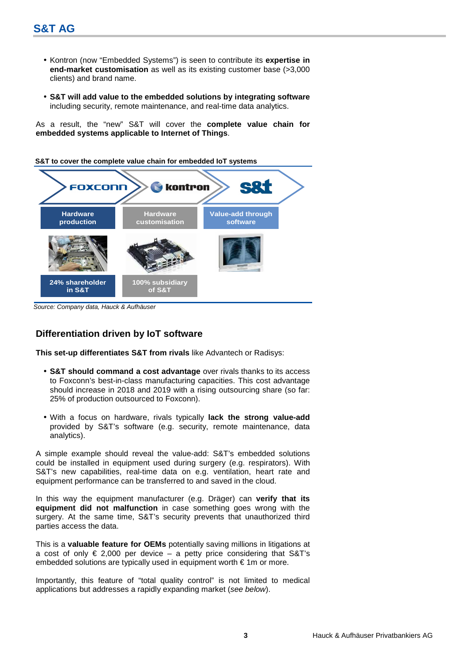- Kontron (now "Embedded Systems") is seen to contribute its **expertise in end-market customisation** as well as its existing customer base (>3,000 clients) and brand name.
- **S&T will add value to the embedded solutions by integrating software** including security, remote maintenance, and real-time data analytics.

As a result, the "new" S&T will cover the **complete value chain for embedded systems applicable to Internet of Things**.

**S&T to cover the complete value chain for embedded IoT systems**



Source: Company data, Hauck & Aufhäuser

### **Differentiation driven by IoT software**

**This set-up differentiates S&T from rivals** like Advantech or Radisys:

- **S&T should command a cost advantage** over rivals thanks to its access to Foxconn's best-in-class manufacturing capacities. This cost advantage should increase in 2018 and 2019 with a rising outsourcing share (so far: 25% of production outsourced to Foxconn).
- With a focus on hardware, rivals typically **lack the strong value-add** provided by S&T's software (e.g. security, remote maintenance, data analytics).

A simple example should reveal the value-add: S&T's embedded solutions could be installed in equipment used during surgery (e.g. respirators). With S&T's new capabilities, real-time data on e.g. ventilation, heart rate and equipment performance can be transferred to and saved in the cloud.

In this way the equipment manufacturer (e.g. Dräger) can **verify that its equipment did not malfunction** in case something goes wrong with the surgery. At the same time, S&T's security prevents that unauthorized third parties access the data.

This is a **valuable feature for OEMs** potentially saving millions in litigations at a cost of only  $\epsilon$  2,000 per device – a petty price considering that S&T's embedded solutions are typically used in equipment worth  $\epsilon$  1m or more.

Importantly, this feature of "total quality control" is not limited to medical applications but addresses a rapidly expanding market (see below).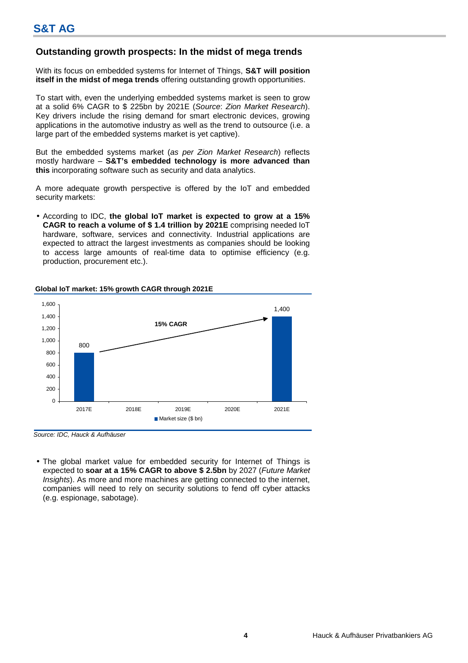# **Outstanding growth prospects: In the midst of mega trends**

With its focus on embedded systems for Internet of Things, **S&T will position itself in the midst of mega trends** offering outstanding growth opportunities.

To start with, even the underlying embedded systems market is seen to grow at a solid 6% CAGR to \$ 225bn by 2021E (Source: Zion Market Research). Key drivers include the rising demand for smart electronic devices, growing applications in the automotive industry as well as the trend to outsource (i.e. a large part of the embedded systems market is yet captive).

But the embedded systems market (as per Zion Market Research) reflects mostly hardware – **S&T's embedded technology is more advanced than this** incorporating software such as security and data analytics.

A more adequate growth perspective is offered by the IoT and embedded security markets:

• According to IDC, **the global IoT market is expected to grow at a 15% CAGR to reach a volume of \$ 1.4 trillion by 2021E** comprising needed IoT hardware, software, services and connectivity. Industrial applications are expected to attract the largest investments as companies should be looking to access large amounts of real-time data to optimise efficiency (e.g. production, procurement etc.).



### **Global IoT market: 15% growth CAGR through 2021E**

Source: IDC, Hauck & Aufhäuser

• The global market value for embedded security for Internet of Things is expected to **soar at a 15% CAGR to above \$ 2.5bn** by 2027 (Future Market Insights). As more and more machines are getting connected to the internet, companies will need to rely on security solutions to fend off cyber attacks (e.g. espionage, sabotage).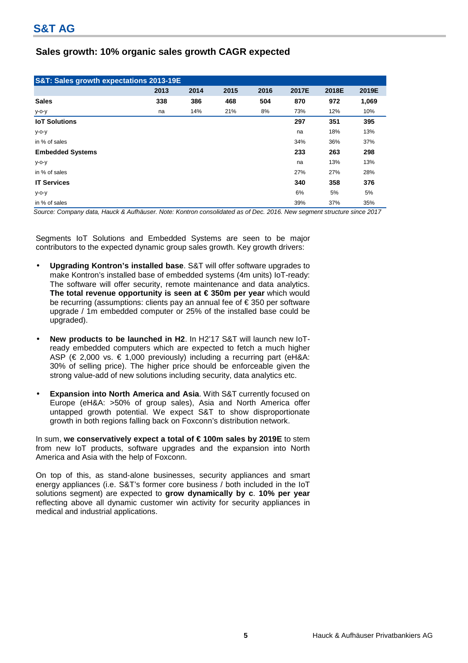# **Sales growth: 10% organic sales growth CAGR expected**

| S&T: Sales growth expectations 2013-19E |      |      |      |      |       |       |       |  |  |  |  |
|-----------------------------------------|------|------|------|------|-------|-------|-------|--|--|--|--|
|                                         | 2013 | 2014 | 2015 | 2016 | 2017E | 2018E | 2019E |  |  |  |  |
| <b>Sales</b>                            | 338  | 386  | 468  | 504  | 870   | 972   | 1,069 |  |  |  |  |
| у-о-у                                   | na   | 14%  | 21%  | 8%   | 73%   | 12%   | 10%   |  |  |  |  |
| <b>IoT Solutions</b>                    |      |      |      |      | 297   | 351   | 395   |  |  |  |  |
| $y$ -o-y                                |      |      |      |      | na    | 18%   | 13%   |  |  |  |  |
| in % of sales                           |      |      |      |      | 34%   | 36%   | 37%   |  |  |  |  |
| <b>Embedded Systems</b>                 |      |      |      |      | 233   | 263   | 298   |  |  |  |  |
| $y$ -o-y                                |      |      |      |      | na    | 13%   | 13%   |  |  |  |  |
| in % of sales                           |      |      |      |      | 27%   | 27%   | 28%   |  |  |  |  |
| <b>IT Services</b>                      |      |      |      |      | 340   | 358   | 376   |  |  |  |  |
| $y$ -o-y                                |      |      |      |      | 6%    | 5%    | 5%    |  |  |  |  |
| in % of sales                           |      |      |      |      | 39%   | 37%   | 35%   |  |  |  |  |

Source: Company data, Hauck & Aufhäuser. Note: Kontron consolidated as of Dec. 2016. New segment structure since 2017

Segments IoT Solutions and Embedded Systems are seen to be major contributors to the expected dynamic group sales growth. Key growth drivers:

- **Upgrading Kontron's installed base**. S&T will offer software upgrades to make Kontron's installed base of embedded systems (4m units) IoT-ready: The software will offer security, remote maintenance and data analytics. **The total revenue opportunity is seen at € 350m per year** which would be recurring (assumptions: clients pay an annual fee of € 350 per software upgrade / 1m embedded computer or 25% of the installed base could be upgraded).
- **New products to be launched in H2**. In H2'17 S&T will launch new IoTready embedded computers which are expected to fetch a much higher ASP ( $\in$  2,000 vs.  $\in$  1,000 previously) including a recurring part (eH&A: 30% of selling price). The higher price should be enforceable given the strong value-add of new solutions including security, data analytics etc.
- **Expansion into North America and Asia**. With S&T currently focused on Europe (eH&A: >50% of group sales), Asia and North America offer untapped growth potential. We expect S&T to show disproportionate growth in both regions falling back on Foxconn's distribution network.

In sum, **we conservatively expect a total of € 100m sales by 2019E** to stem from new IoT products, software upgrades and the expansion into North America and Asia with the help of Foxconn.

On top of this, as stand-alone businesses, security appliances and smart energy appliances (i.e. S&T's former core business / both included in the IoT solutions segment) are expected to **grow dynamically by c**. **10% per year** reflecting above all dynamic customer win activity for security appliances in medical and industrial applications.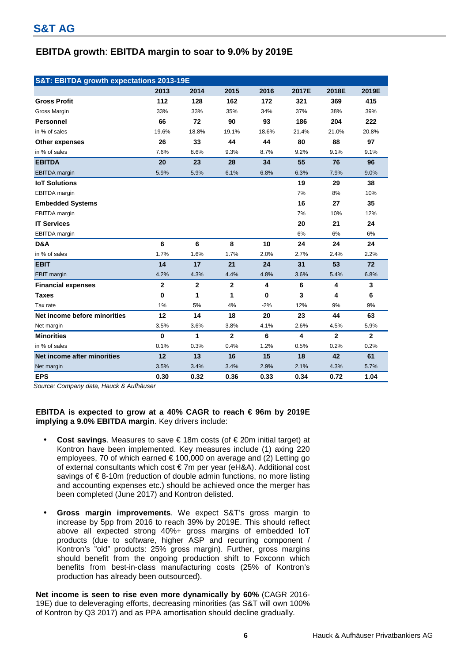# **EBITDA growth**: **EBITDA margin to soar to 9.0% by 2019E**

| S&T: EBITDA growth expectations 2013-19E |              |              |                |       |       |                |              |  |  |  |
|------------------------------------------|--------------|--------------|----------------|-------|-------|----------------|--------------|--|--|--|
|                                          | 2013         | 2014         | 2015           | 2016  | 2017E | 2018E          | 2019E        |  |  |  |
| <b>Gross Profit</b>                      | 112          | 128          | 162            | 172   | 321   | 369            | 415          |  |  |  |
| Gross Margin                             | 33%          | 33%          | 35%            | 34%   | 37%   | 38%            | 39%          |  |  |  |
| <b>Personnel</b>                         | 66           | 72           | 90             | 93    | 186   | 204            | 222          |  |  |  |
| in % of sales                            | 19.6%        | 18.8%        | 19.1%          | 18.6% | 21.4% | 21.0%          | 20.8%        |  |  |  |
| Other expenses                           | 26           | 33           | 44             | 44    | 80    | 88             | 97           |  |  |  |
| in % of sales                            | 7.6%         | 8.6%         | 9.3%           | 8.7%  | 9.2%  | 9.1%           | 9.1%         |  |  |  |
| <b>EBITDA</b>                            | 20           | 23           | 28             | 34    | 55    | 76             | 96           |  |  |  |
| <b>EBITDA</b> margin                     | 5.9%         | 5.9%         | 6.1%           | 6.8%  | 6.3%  | 7.9%           | 9.0%         |  |  |  |
| <b>IoT Solutions</b>                     |              |              |                |       | 19    | 29             | 38           |  |  |  |
| <b>EBITDA</b> margin                     |              |              |                |       | 7%    | 8%             | 10%          |  |  |  |
| <b>Embedded Systems</b>                  |              |              |                |       | 16    | 27             | 35           |  |  |  |
| <b>EBITDA</b> margin                     |              |              |                |       | 7%    | 10%            | 12%          |  |  |  |
| <b>IT Services</b>                       |              |              |                |       | 20    | 21             | 24           |  |  |  |
| EBITDA margin                            |              |              |                |       | 6%    | 6%             | 6%           |  |  |  |
| D&A                                      | 6            | 6            | 8              | 10    | 24    | 24             | 24           |  |  |  |
| in % of sales                            | 1.7%         | 1.6%         | 1.7%           | 2.0%  | 2.7%  | 2.4%           | 2.2%         |  |  |  |
| <b>EBIT</b>                              | 14           | 17           | 21             | 24    | 31    | 53             | 72           |  |  |  |
| <b>EBIT</b> margin                       | 4.2%         | 4.3%         | 4.4%           | 4.8%  | 3.6%  | 5.4%           | 6.8%         |  |  |  |
| <b>Financial expenses</b>                | $\mathbf{2}$ | $\mathbf{2}$ | $\overline{2}$ | 4     | 6     | 4              | 3            |  |  |  |
| <b>Taxes</b>                             | $\bf{0}$     | 1            | 1              | 0     | 3     | 4              | 6            |  |  |  |
| Tax rate                                 | 1%           | 5%           | 4%             | $-2%$ | 12%   | 9%             | 9%           |  |  |  |
| Net income before minorities             | 12           | 14           | 18             | 20    | 23    | 44             | 63           |  |  |  |
| Net margin                               | 3.5%         | 3.6%         | 3.8%           | 4.1%  | 2.6%  | 4.5%           | 5.9%         |  |  |  |
| <b>Minorities</b>                        | $\mathbf 0$  | 1            | $\overline{2}$ | 6     | 4     | $\overline{2}$ | $\mathbf{2}$ |  |  |  |
| in % of sales                            | 0.1%         | 0.3%         | 0.4%           | 1.2%  | 0.5%  | 0.2%           | 0.2%         |  |  |  |
| Net income after minorities              | 12           | 13           | 16             | 15    | 18    | 42             | 61           |  |  |  |
| Net margin                               | 3.5%         | 3.4%         | 3.4%           | 2.9%  | 2.1%  | 4.3%           | 5.7%         |  |  |  |
| <b>EPS</b>                               | 0.30         | 0.32         | 0.36           | 0.33  | 0.34  | 0.72           | 1.04         |  |  |  |

Source: Company data, Hauck & Aufhäuser

**EBITDA is expected to grow at a 40% CAGR to reach € 96m by 2019E implying a 9.0% EBITDA margin**. Key drivers include:

- **Cost savings**. Measures to save € 18m costs (of € 20m initial target) at Kontron have been implemented. Key measures include (1) axing 220 employees, 70 of which earned € 100,000 on average and (2) Letting go of external consultants which cost € 7m per year (eH&A). Additional cost savings of €8-10m (reduction of double admin functions, no more listing and accounting expenses etc.) should be achieved once the merger has been completed (June 2017) and Kontron delisted.
- **Gross margin improvements**. We expect S&T's gross margin to increase by 5pp from 2016 to reach 39% by 2019E. This should reflect above all expected strong 40%+ gross margins of embedded IoT products (due to software, higher ASP and recurring component / Kontron's "old" products: 25% gross margin). Further, gross margins should benefit from the ongoing production shift to Foxconn which benefits from best-in-class manufacturing costs (25% of Kontron's production has already been outsourced).

**Net income is seen to rise even more dynamically by 60%** (CAGR 2016- 19E) due to deleveraging efforts, decreasing minorities (as S&T will own 100% of Kontron by Q3 2017) and as PPA amortisation should decline gradually.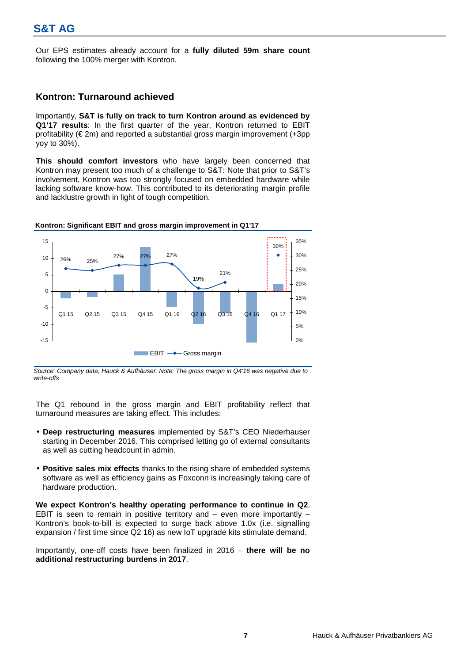Our EPS estimates already account for a **fully diluted 59m share count** following the 100% merger with Kontron.

### **Kontron: Turnaround achieved**

Importantly, **S&T is fully on track to turn Kontron around as evidenced by Q1'17 results**: In the first quarter of the year, Kontron returned to EBIT profitability (€ 2m) and reported a substantial gross margin improvement (+3pp yoy to 30%).

**This should comfort investors** who have largely been concerned that Kontron may present too much of a challenge to S&T: Note that prior to S&T's involvement, Kontron was too strongly focused on embedded hardware while lacking software know-how. This contributed to its deteriorating margin profile and lacklustre growth in light of tough competition.



**Kontron: Significant EBIT and gross margin improvement in Q1'17**

The Q1 rebound in the gross margin and EBIT profitability reflect that turnaround measures are taking effect. This includes:

- **Deep restructuring measures** implemented by S&T's CEO Niederhauser starting in December 2016. This comprised letting go of external consultants as well as cutting headcount in admin.
- **Positive sales mix effects** thanks to the rising share of embedded systems software as well as efficiency gains as Foxconn is increasingly taking care of hardware production.

**We expect Kontron's healthy operating performance to continue in Q2**. EBIT is seen to remain in positive territory and  $-$  even more importantly  $-$ Kontron's book-to-bill is expected to surge back above 1.0x (i.e. signalling expansion / first time since Q2 16) as new IoT upgrade kits stimulate demand.

Importantly, one-off costs have been finalized in 2016 – **there will be no additional restructuring burdens in 2017**.

Source: Company data, Hauck & Aufhäuser. Note: The gross margin in Q4'16 was negative due to write-offs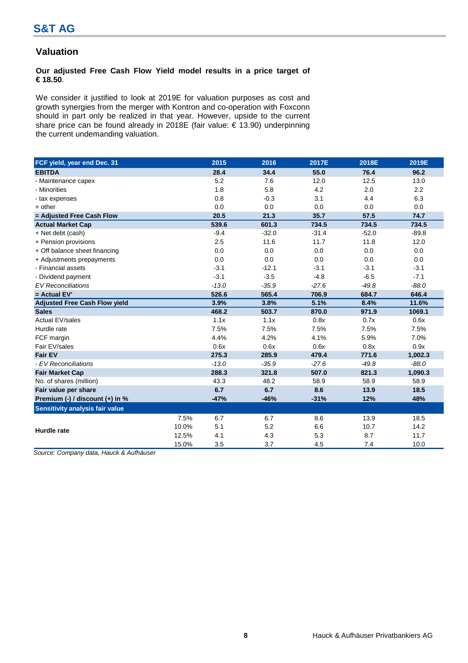# **Valuation**

### **Our adjusted Free Cash Flow Yield model results in a price target of € 18.50**.

We consider it justified to look at 2019E for valuation purposes as cost and growth synergies from the merger with Kontron and co-operation with Foxconn should in part only be realized in that year. However, upside to the current share price can be found already in 2018E (fair value: € 13.90) underpinning the current undemanding valuation.

| FCF yield, year end Dec. 31          |       | 2015    | 2016    | 2017E   | 2018E   | 2019E   |
|--------------------------------------|-------|---------|---------|---------|---------|---------|
| <b>EBITDA</b>                        |       | 28.4    | 34.4    | 55.0    | 76.4    | 96.2    |
| - Maintenance capex                  |       | 5.2     | 7.6     | 12.0    | 12.5    | 13.0    |
| - Minorities                         |       | 1.8     | 5.8     | 4.2     | 2.0     | 2.2     |
| - tax expenses                       |       | 0.8     | $-0.3$  | 3.1     | 4.4     | 6.3     |
| + other                              |       | 0.0     | 0.0     | 0.0     | 0.0     | 0.0     |
| = Adjusted Free Cash Flow            |       | 20.5    | 21.3    | 35.7    | 57.5    | 74.7    |
| <b>Actual Market Cap</b>             |       | 539.6   | 601.3   | 734.5   | 734.5   | 734.5   |
| + Net debt (cash)                    |       | $-9.4$  | $-32.0$ | $-31.4$ | $-52.0$ | $-89.8$ |
| + Pension provisions                 |       | 2.5     | 11.6    | 11.7    | 11.8    | 12.0    |
| + Off balance sheet financing        |       | 0.0     | 0.0     | 0.0     | 0.0     | 0.0     |
| + Adjustments prepayments            |       | 0.0     | 0.0     | 0.0     | 0.0     | 0.0     |
| - Financial assets                   |       | $-3.1$  | $-12.1$ | $-3.1$  | $-3.1$  | $-3.1$  |
| - Dividend payment                   |       | $-3.1$  | $-3.5$  | $-4.8$  | $-6.5$  | $-7.1$  |
| <b>EV Reconciliations</b>            |       | $-13.0$ | $-35.9$ | $-27.6$ | $-49.8$ | $-88.0$ |
| = Actual EV'                         |       | 526.6   | 565.4   | 706.9   | 684.7   | 646.4   |
| <b>Adjusted Free Cash Flow yield</b> |       | 3.9%    | 3.8%    | 5.1%    | 8.4%    | 11.6%   |
| <b>Sales</b>                         |       | 468.2   | 503.7   | 870.0   | 971.9   | 1069.1  |
| <b>Actual EV/sales</b>               |       | 1.1x    | 1.1x    | 0.8x    | 0.7x    | 0.6x    |
| Hurdle rate                          |       | 7.5%    | 7.5%    | 7.5%    | 7.5%    | 7.5%    |
| FCF margin                           |       | 4.4%    | 4.2%    | 4.1%    | 5.9%    | 7.0%    |
| Fair EV/sales                        |       | 0.6x    | 0.6x    | 0.6x    | 0.8x    | 0.9x    |
| <b>Fair EV</b>                       |       | 275.3   | 285.9   | 479.4   | 771.6   | 1,002.3 |
| - EV Reconciliations                 |       | $-13.0$ | $-35.9$ | $-27.6$ | $-49.8$ | $-88.0$ |
| <b>Fair Market Cap</b>               |       | 288.3   | 321.8   | 507.0   | 821.3   | 1,090.3 |
| No. of shares (million)              |       | 43.3    | 48.2    | 58.9    | 58.9    | 58.9    |
| Fair value per share                 |       | 6.7     | 6.7     | 8.6     | 13.9    | 18.5    |
| Premium (-) / discount (+) in %      |       | $-47%$  | $-46%$  | $-31%$  | 12%     | 48%     |
| Sensitivity analysis fair value      |       |         |         |         |         |         |
|                                      | 7.5%  | 6.7     | 6.7     | 8.6     | 13.9    | 18.5    |
| <b>Hurdle rate</b>                   | 10.0% | 5.1     | 5.2     | 6.6     | 10.7    | 14.2    |
|                                      | 12.5% | 4.1     | 4.3     | 5.3     | 8.7     | 11.7    |
|                                      | 15.0% | 3.5     | 3.7     | 4.5     | 7.4     | 10.0    |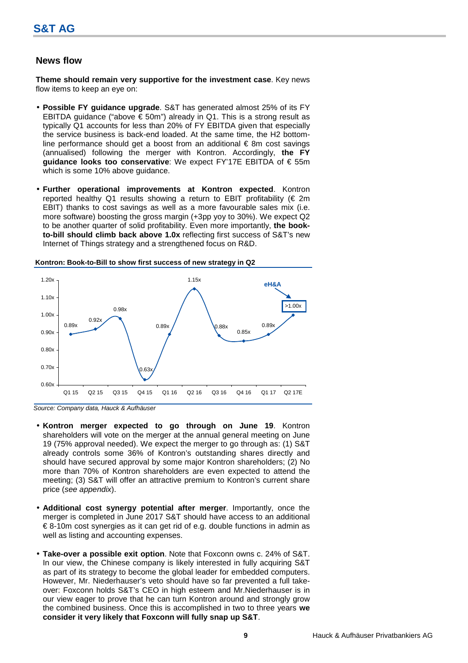### **News flow**

**Theme should remain very supportive for the investment case**. Key news flow items to keep an eye on:

- **Possible FY guidance upgrade**. S&T has generated almost 25% of its FY EBITDA guidance ("above  $\epsilon$  50m") already in Q1. This is a strong result as typically Q1 accounts for less than 20% of FY EBITDA given that especially the service business is back-end loaded. At the same time, the H2 bottomline performance should get a boost from an additional  $\epsilon$  8m cost savings (annualised) following the merger with Kontron. Accordingly, **the FY guidance looks too conservative**: We expect FY'17E EBITDA of € 55m which is some 10% above guidance.
- **Further operational improvements at Kontron expected**. Kontron reported healthy Q1 results showing a return to EBIT profitability ( $\epsilon$  2m EBIT) thanks to cost savings as well as a more favourable sales mix (i.e. more software) boosting the gross margin (+3pp yoy to 30%). We expect Q2 to be another quarter of solid profitability. Even more importantly, **the bookto-bill should climb back above 1.0x** reflecting first success of S&T's new Internet of Things strategy and a strengthened focus on R&D.



**Kontron: Book-to-Bill to show first success of new strategy in Q2**

- **Kontron merger expected to go through on June 19**. Kontron shareholders will vote on the merger at the annual general meeting on June 19 (75% approval needed). We expect the merger to go through as: (1) S&T already controls some 36% of Kontron's outstanding shares directly and should have secured approval by some major Kontron shareholders; (2) No more than 70% of Kontron shareholders are even expected to attend the meeting; (3) S&T will offer an attractive premium to Kontron's current share price (see appendix).
- **Additional cost synergy potential after merger**. Importantly, once the merger is completed in June 2017 S&T should have access to an additional € 8-10m cost synergies as it can get rid of e.g. double functions in admin as well as listing and accounting expenses.
- **Take-over a possible exit option**. Note that Foxconn owns c. 24% of S&T. In our view, the Chinese company is likely interested in fully acquiring S&T as part of its strategy to become the global leader for embedded computers. However, Mr. Niederhauser's veto should have so far prevented a full takeover: Foxconn holds S&T's CEO in high esteem and Mr.Niederhauser is in our view eager to prove that he can turn Kontron around and strongly grow the combined business. Once this is accomplished in two to three years **we consider it very likely that Foxconn will fully snap up S&T**.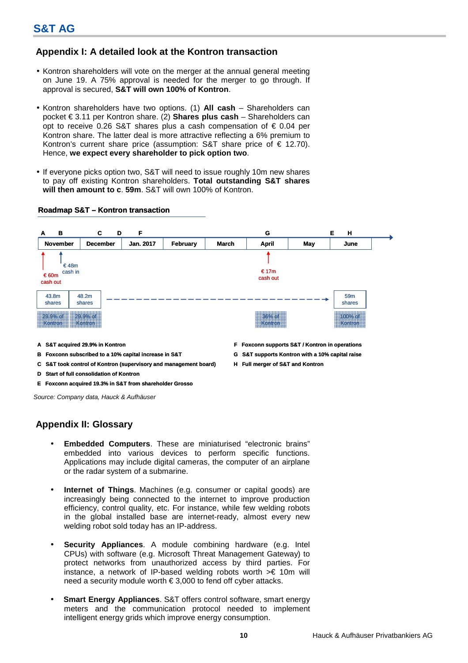# **Appendix I: A detailed look at the Kontron transaction**

- Kontron shareholders will vote on the merger at the annual general meeting on June 19. A 75% approval is needed for the merger to go through. If approval is secured, **S&T will own 100% of Kontron**.
- Kontron shareholders have two options. (1) **All cash** Shareholders can pocket € 3.11 per Kontron share. (2) **Shares plus cash** – Shareholders can opt to receive 0.26 S&T shares plus a cash compensation of  $\epsilon$  0.04 per Kontron share. The latter deal is more attractive reflecting a 6% premium to Kontron's current share price (assumption: S&T share price of  $\epsilon$  12.70). Hence, **we expect every shareholder to pick option two**.
- If everyone picks option two, S&T will need to issue roughly 10m new shares to pay off existing Kontron shareholders. **Total outstanding S&T shares will then amount to c**. **59m**. S&T will own 100% of Kontron.

### **Roadmap S&T – Kontron transaction**



- 
- **A S&T acquired 29.9% in Kontron F Foxconn supports S&T / Kontron in operations**
- **B** Foxconn subscribed to a 10% capital increase in S&T **G** S&T supports Kontron with a 10% capital raise
- **C S&T took control of Kontron (supervisory and management board) H Full merger of S&T and Kontron**
- **D Start of full consolidation of Kontron**
- **E Foxconn acquired 19.3% in S&T from shareholder Grosso**

Source: Company data, Hauck & Aufhäuser

# **Appendix II: Glossary**

- **Embedded Computers**. These are miniaturised "electronic brains" embedded into various devices to perform specific functions. Applications may include digital cameras, the computer of an airplane or the radar system of a submarine.
- **Internet of Things**. Machines (e.g. consumer or capital goods) are increasingly being connected to the internet to improve production efficiency, control quality, etc. For instance, while few welding robots in the global installed base are internet-ready, almost every new welding robot sold today has an IP-address.
- **Security Appliances**. A module combining hardware (e.g. Intel CPUs) with software (e.g. Microsoft Threat Management Gateway) to protect networks from unauthorized access by third parties. For instance, a network of IP-based welding robots worth >€ 10m will need a security module worth € 3,000 to fend off cyber attacks.
- **Smart Energy Appliances**. S&T offers control software, smart energy meters and the communication protocol needed to implement intelligent energy grids which improve energy consumption.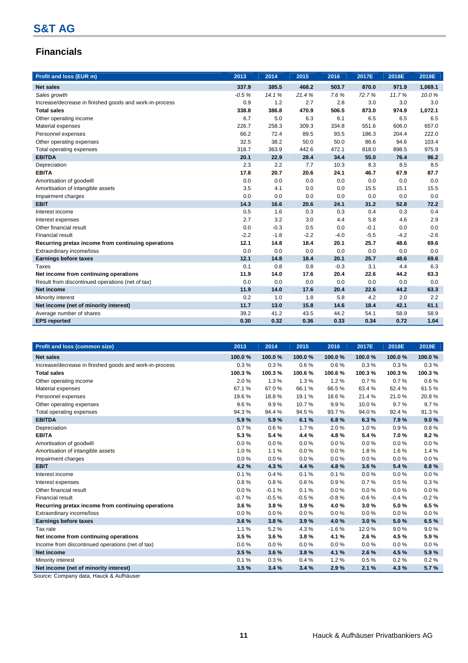# **Financials**

| Profit and loss (EUR m)                                 | 2013    | 2014   | 2015   | 2016   | 2017E  | 2018E  | 2019E   |
|---------------------------------------------------------|---------|--------|--------|--------|--------|--------|---------|
| <b>Net sales</b>                                        | 337.9   | 385.5  | 468.2  | 503.7  | 870.0  | 971.9  | 1,069.1 |
| Sales growth                                            | $-0.5%$ | 14.1%  | 21.4%  | 7.6%   | 72.7%  | 11.7%  | 10.0%   |
| Increase/decrease in finished goods and work-in-process | 0.9     | 1.2    | 2.7    | 2.8    | 3.0    | 3.0    | 3.0     |
| <b>Total sales</b>                                      | 338.8   | 386.8  | 470.9  | 506.5  | 873.0  | 974.9  | 1,072.1 |
| Other operating income                                  | 6.7     | 5.0    | 6.3    | 6.1    | 6.5    | 6.5    | 6.5     |
| Material expenses                                       | 226.7   | 258.3  | 309.3  | 334.8  | 551.6  | 606.0  | 657.0   |
| Personnel expenses                                      | 66.2    | 72.4   | 89.5   | 93.5   | 186.3  | 204.4  | 222.0   |
| Other operating expenses                                | 32.5    | 38.2   | 50.0   | 50.0   | 86.6   | 94.6   | 103.4   |
| Total operating expenses                                | 318.7   | 363.9  | 442.6  | 472.1  | 818.0  | 898.5  | 975.9   |
| <b>EBITDA</b>                                           | 20.1    | 22.9   | 28.4   | 34.4   | 55.0   | 76.4   | 96.2    |
| Depreciation                                            | 2.3     | 2.2    | 7.7    | 10.3   | 8.3    | 8.5    | 8.5     |
| <b>EBITA</b>                                            | 17.8    | 20.7   | 20.6   | 24.1   | 46.7   | 67.9   | 87.7    |
| Amortisation of goodwill                                | 0.0     | 0.0    | 0.0    | 0.0    | 0.0    | 0.0    | 0.0     |
| Amortisation of intangible assets                       | 3.5     | 4.1    | 0.0    | 0.0    | 15.5   | 15.1   | 15.5    |
| Impairment charges                                      | 0.0     | 0.0    | 0.0    | 0.0    | 0.0    | 0.0    | 0.0     |
| <b>EBIT</b>                                             | 14.3    | 16.6   | 20.6   | 24.1   | 31.2   | 52.8   | 72.2    |
| Interest income                                         | 0.5     | 1.6    | 0.3    | 0.3    | 0.4    | 0.3    | 0.4     |
| Interest expenses                                       | 2.7     | 3.2    | 3.0    | 4.4    | 5.8    | 4.6    | 2.9     |
| Other financial result                                  | 0.0     | $-0.3$ | 0.5    | 0.0    | $-0.1$ | 0.0    | 0.0     |
| <b>Financial result</b>                                 | $-2.2$  | $-1.8$ | $-2.2$ | $-4.0$ | $-5.5$ | $-4.2$ | $-2.6$  |
| Recurring pretax income from continuing operations      | 12.1    | 14.8   | 18.4   | 20.1   | 25.7   | 48.6   | 69.6    |
| Extraordinary income/loss                               | 0.0     | 0.0    | 0.0    | 0.0    | 0.0    | 0.0    | 0.0     |
| <b>Earnings before taxes</b>                            | 12.1    | 14.8   | 18.4   | 20.1   | 25.7   | 48.6   | 69.6    |
| Taxes                                                   | 0.1     | 0.8    | 0.8    | $-0.3$ | 3.1    | 4.4    | 6.3     |
| Net income from continuing operations                   | 11.9    | 14.0   | 17.6   | 20.4   | 22.6   | 44.2   | 63.3    |
| Result from discontinued operations (net of tax)        | 0.0     | 0.0    | 0.0    | 0.0    | 0.0    | 0.0    | 0.0     |
| <b>Net income</b>                                       | 11.9    | 14.0   | 17.6   | 20.4   | 22.6   | 44.2   | 63.3    |
| Minority interest                                       | 0.2     | 1.0    | 1.8    | 5.8    | 4.2    | 2.0    | 2.2     |
| Net income (net of minority interest)                   | 11.7    | 13.0   | 15.8   | 14.6   | 18.4   | 42.1   | 61.1    |
| Average number of shares                                | 39.2    | 41.2   | 43.5   | 44.2   | 54.1   | 58.9   | 58.9    |
| <b>EPS</b> reported                                     | 0.30    | 0.32   | 0.36   | 0.33   | 0.34   | 0.72   | 1.04    |

| Profit and loss (common size)                           | 2013    | 2014    | 2015    | 2016    | 2017E   | 2018E    | 2019E   |
|---------------------------------------------------------|---------|---------|---------|---------|---------|----------|---------|
| <b>Net sales</b>                                        | 100.0%  | 100.0%  | 100.0%  | 100.0%  | 100.0%  | 100.0%   | 100.0%  |
| Increase/decrease in finished goods and work-in-process | 0.3%    | 0.3%    | 0.6%    | 0.6%    | 0.3%    | 0.3%     | 0.3%    |
| <b>Total sales</b>                                      | 100.3%  | 100.3%  | 100.6%  | 100.6%  | 100.3%  | 100.3%   | 100.3%  |
| Other operating income                                  | 2.0%    | 1.3%    | 1.3%    | 1.2%    | 0.7%    | 0.7%     | 0.6%    |
| Material expenses                                       | 67.1%   | 67.0%   | 66.1%   | 66.5%   | 63.4%   | 62.4%    | 61.5%   |
| Personnel expenses                                      | 19.6%   | 18.8%   | 19.1 %  | 18.6%   | 21.4%   | 21.0%    | 20.8%   |
| Other operating expenses                                | 9.6%    | 9.9%    | 10.7%   | 9.9%    | 10.0%   | 9.7%     | 9.7%    |
| Total operating expenses                                | 94.3%   | 94.4%   | 94.5%   | 93.7%   | 94.0%   | 92.4%    | 91.3%   |
| <b>EBITDA</b>                                           | 5.9%    | 5.9%    | 6.1%    | 6.8%    | 6.3%    | 7.9%     | 9.0%    |
| Depreciation                                            | 0.7%    | 0.6%    | 1.7%    | 2.0%    | 1.0%    | 0.9%     | 0.8%    |
| <b>EBITA</b>                                            | 5.3%    | 5.4%    | 4.4 %   | 4.8%    | 5.4%    | 7.0%     | 8.2%    |
| Amortisation of goodwill                                | 0.0%    | 0.0%    | 0.0%    | 0.0%    | 0.0%    | $0.0 \%$ | 0.0%    |
| Amortisation of intangible assets                       | 1.0%    | 1.1%    | 0.0%    | 0.0%    | 1.8%    | 1.6%     | 1.4%    |
| Impairment charges                                      | 0.0%    | 0.0%    | 0.0%    | 0.0%    | 0.0%    | 0.0%     | 0.0%    |
| <b>EBIT</b>                                             | 4.2%    | 4.3%    | 4.4 %   | 4.8%    | 3.6%    | 5.4%     | 6.8%    |
| Interest income                                         | 0.1%    | 0.4%    | 0.1%    | 0.1%    | 0.0%    | 0.0%     | 0.0%    |
| Interest expenses                                       | 0.8%    | 0.8%    | 0.6%    | 0.9%    | 0.7%    | 0.5%     | 0.3%    |
| Other financial result                                  | 0.0%    | $-0.1%$ | 0.1%    | 0.0%    | 0.0%    | $0.0 \%$ | 0.0%    |
| <b>Financial result</b>                                 | $-0.7%$ | $-0.5%$ | $-0.5%$ | $-0.8%$ | $-0.6%$ | $-0.4%$  | $-0.2%$ |
| Recurring pretax income from continuing operations      | 3.6%    | 3.8%    | 3.9%    | 4.0%    | 3.0%    | 5.0%     | 6.5%    |
| Extraordinary income/loss                               | 0.0%    | 0.0%    | 0.0%    | 0.0%    | 0.0%    | 0.0%     | 0.0%    |
| <b>Earnings before taxes</b>                            | 3.6%    | 3.8%    | 3.9%    | 4.0%    | 3.0%    | 5.0%     | 6.5%    |
| Tax rate                                                | 1.1%    | 5.2%    | 4.3%    | $-1.6%$ | 12.0%   | 9.0%     | 9.0%    |
| Net income from continuing operations                   | 3.5%    | 3.6%    | 3.8%    | 4.1 %   | 2.6%    | 4.5%     | 5.9%    |
| Income from discontinued operations (net of tax)        | 0.0%    | 0.0%    | 0.0%    | 0.0%    | 0.0%    | 0.0%     | 0.0%    |
| <b>Net income</b>                                       | 3.5%    | 3.6%    | 3.8%    | 4.1 %   | 2.6%    | 4.5%     | 5.9%    |
| Minority interest                                       | 0.1%    | 0.3%    | 0.4%    | 1.2%    | 0.5%    | 0.2%     | 0.2%    |
| Net income (net of minority interest)                   | 3.5%    | 3.4%    | 3.4%    | 2.9%    | 2.1%    | 4.3%     | 5.7%    |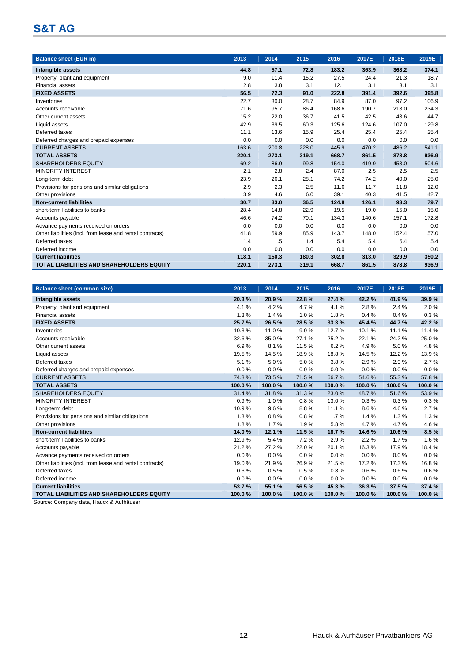| <b>Balance sheet (EUR m)</b>                              | 2013  | 2014  | 2015  | 2016  | 2017E | 2018E | 2019E |
|-----------------------------------------------------------|-------|-------|-------|-------|-------|-------|-------|
| Intangible assets                                         | 44.8  | 57.1  | 72.8  | 183.2 | 363.9 | 368.2 | 374.1 |
| Property, plant and equipment                             | 9.0   | 11.4  | 15.2  | 27.5  | 24.4  | 21.3  | 18.7  |
| <b>Financial assets</b>                                   | 2.8   | 3.8   | 3.1   | 12.1  | 3.1   | 3.1   | 3.1   |
| <b>FIXED ASSETS</b>                                       | 56.5  | 72.3  | 91.0  | 222.8 | 391.4 | 392.6 | 395.8 |
| Inventories                                               | 22.7  | 30.0  | 28.7  | 84.9  | 87.0  | 97.2  | 106.9 |
| Accounts receivable                                       | 71.6  | 95.7  | 86.4  | 168.6 | 190.7 | 213.0 | 234.3 |
| Other current assets                                      | 15.2  | 22.0  | 36.7  | 41.5  | 42.5  | 43.6  | 44.7  |
| Liquid assets                                             | 42.9  | 39.5  | 60.3  | 125.6 | 124.6 | 107.0 | 129.8 |
| Deferred taxes                                            | 11.1  | 13.6  | 15.9  | 25.4  | 25.4  | 25.4  | 25.4  |
| Deferred charges and prepaid expenses                     | 0.0   | 0.0   | 0.0   | 0.0   | 0.0   | 0.0   | 0.0   |
| <b>CURRENT ASSETS</b>                                     | 163.6 | 200.8 | 228.0 | 445.9 | 470.2 | 486.2 | 541.1 |
| <b>TOTAL ASSETS</b>                                       | 220.1 | 273.1 | 319.1 | 668.7 | 861.5 | 878.8 | 936.9 |
| <b>SHAREHOLDERS EQUITY</b>                                | 69.2  | 86.9  | 99.8  | 154.0 | 419.9 | 453.0 | 504.6 |
| <b>MINORITY INTEREST</b>                                  | 2.1   | 2.8   | 2.4   | 87.0  | 2.5   | 2.5   | 2.5   |
| Long-term debt                                            | 23.9  | 26.1  | 28.1  | 74.2  | 74.2  | 40.0  | 25.0  |
| Provisions for pensions and similar obligations           | 2.9   | 2.3   | 2.5   | 11.6  | 11.7  | 11.8  | 12.0  |
| Other provisions                                          | 3.9   | 4.6   | 6.0   | 39.1  | 40.3  | 41.5  | 42.7  |
| <b>Non-current liabilities</b>                            | 30.7  | 33.0  | 36.5  | 124.8 | 126.1 | 93.3  | 79.7  |
| short-term liabilities to banks                           | 28.4  | 14.8  | 22.9  | 19.5  | 19.0  | 15.0  | 15.0  |
| Accounts payable                                          | 46.6  | 74.2  | 70.1  | 134.3 | 140.6 | 157.1 | 172.8 |
| Advance payments received on orders                       | 0.0   | 0.0   | 0.0   | 0.0   | 0.0   | 0.0   | 0.0   |
| Other liabilities (incl. from lease and rental contracts) | 41.8  | 59.9  | 85.9  | 143.7 | 148.0 | 152.4 | 157.0 |
| Deferred taxes                                            | 1.4   | 1.5   | 1.4   | 5.4   | 5.4   | 5.4   | 5.4   |
| Deferred income                                           | 0.0   | 0.0   | 0.0   | 0.0   | 0.0   | 0.0   | 0.0   |
| <b>Current liabilities</b>                                | 118.1 | 150.3 | 180.3 | 302.8 | 313.0 | 329.9 | 350.2 |
| <b>TOTAL LIABILITIES AND SHAREHOLDERS EQUITY</b>          | 220.1 | 273.1 | 319.1 | 668.7 | 861.5 | 878.8 | 936.9 |

| <b>Balance sheet (common size)</b>                        | 2013     | 2014     | 2015   | 2016   | 2017E  | 2018E  | 2019E  |
|-----------------------------------------------------------|----------|----------|--------|--------|--------|--------|--------|
| Intangible assets                                         | 20.3%    | 20.9%    | 22.8%  | 27.4 % | 42.2%  | 41.9%  | 39.9%  |
| Property, plant and equipment                             | 4.1%     | 4.2%     | 4.7%   | 4.1%   | 2.8%   | 2.4 %  | 2.0%   |
| <b>Financial assets</b>                                   | 1.3%     | 1.4%     | 1.0%   | 1.8%   | 0.4%   | 0.4%   | 0.3%   |
| <b>FIXED ASSETS</b>                                       | 25.7%    | 26.5 %   | 28.5 % | 33.3 % | 45.4%  | 44.7%  | 42.2%  |
| Inventories                                               | 10.3%    | 11.0%    | 9.0%   | 12.7%  | 10.1%  | 11.1%  | 11.4%  |
| Accounts receivable                                       | 32.6%    | 35.0%    | 27.1 % | 25.2%  | 22.1%  | 24.2%  | 25.0%  |
| Other current assets                                      | 6.9%     | 8.1%     | 11.5 % | 6.2%   | 4.9%   | 5.0%   | 4.8%   |
| Liquid assets                                             | 19.5%    | 14.5%    | 18.9%  | 18.8%  | 14.5%  | 12.2%  | 13.9%  |
| Deferred taxes                                            | 5.1%     | 5.0%     | 5.0%   | 3.8%   | 2.9%   | 2.9%   | 2.7%   |
| Deferred charges and prepaid expenses                     | $0.0 \%$ | $0.0\%$  | 0.0%   | 0.0%   | 0.0%   | 0.0%   | 0.0%   |
| <b>CURRENT ASSETS</b>                                     | 74.3%    | 73.5%    | 71.5%  | 66.7%  | 54.6%  | 55.3%  | 57.8%  |
| <b>TOTAL ASSETS</b>                                       | 100.0%   | 100.0%   | 100.0% | 100.0% | 100.0% | 100.0% | 100.0% |
| <b>SHAREHOLDERS EQUITY</b>                                | 31.4%    | 31.8%    | 31.3%  | 23.0%  | 48.7%  | 51.6%  | 53.9%  |
| <b>MINORITY INTEREST</b>                                  | 0.9%     | 1.0%     | 0.8%   | 13.0%  | 0.3%   | 0.3%   | 0.3%   |
| Long-term debt                                            | 10.9%    | 9.6%     | 8.8%   | 11.1%  | 8.6%   | 4.6%   | 2.7%   |
| Provisions for pensions and similar obligations           | 1.3%     | 0.8%     | 0.8%   | 1.7%   | 1.4%   | 1.3%   | 1.3%   |
| Other provisions                                          | 1.8%     | 1.7%     | 1.9%   | 5.8%   | 4.7%   | 4.7%   | 4.6%   |
| <b>Non-current liabilities</b>                            | 14.0%    | 12.1 %   | 11.5 % | 18.7%  | 14.6%  | 10.6%  | 8.5%   |
| short-term liabilities to banks                           | 12.9%    | 5.4 %    | 7.2%   | 2.9%   | 2.2%   | 1.7%   | 1.6%   |
| Accounts payable                                          | 21.2%    | 27.2%    | 22.0%  | 20.1%  | 16.3%  | 17.9%  | 18.4%  |
| Advance payments received on orders                       | 0.0%     | 0.0%     | 0.0%   | 0.0%   | 0.0%   | 0.0%   | 0.0%   |
| Other liabilities (incl. from lease and rental contracts) | 19.0%    | 21.9%    | 26.9%  | 21.5%  | 17.2%  | 17.3%  | 16.8%  |
| Deferred taxes                                            | 0.6%     | 0.5%     | 0.5%   | 0.8%   | 0.6%   | 0.6%   | 0.6%   |
| Deferred income                                           | $0.0\%$  | $0.0 \%$ | 0.0%   | 0.0%   | 0.0%   | 0.0%   | 0.0%   |
| <b>Current liabilities</b>                                | 53.7%    | 55.1%    | 56.5%  | 45.3%  | 36.3%  | 37.5%  | 37.4 % |
| TOTAL LIABILITIES AND SHAREHOLDERS EQUITY                 | 100.0%   | 100.0%   | 100.0% | 100.0% | 100.0% | 100.0% | 100.0% |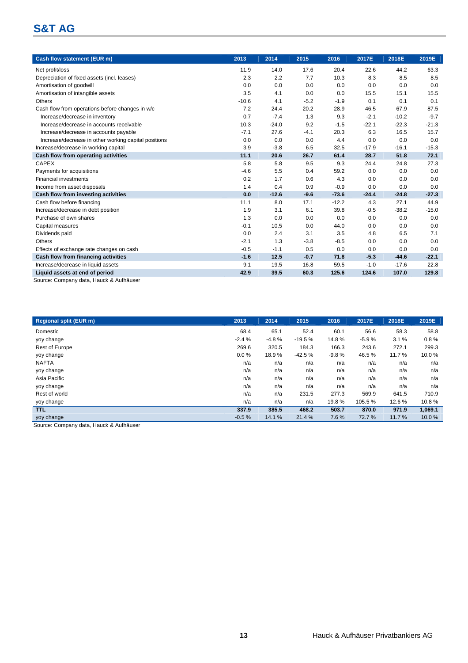| Cash flow statement (EUR m)                                              | 2013    | 2014    | 2015   | 2016    | 2017E   | 2018E   | 2019E   |
|--------------------------------------------------------------------------|---------|---------|--------|---------|---------|---------|---------|
| Net profit/loss                                                          | 11.9    | 14.0    | 17.6   | 20.4    | 22.6    | 44.2    | 63.3    |
| Depreciation of fixed assets (incl. leases)                              | 2.3     | 2.2     | 7.7    | 10.3    | 8.3     | 8.5     | 8.5     |
| Amortisation of goodwill                                                 | 0.0     | 0.0     | 0.0    | 0.0     | 0.0     | 0.0     | 0.0     |
| Amortisation of intangible assets                                        | 3.5     | 4.1     | 0.0    | 0.0     | 15.5    | 15.1    | 15.5    |
| Others                                                                   | $-10.6$ | 4.1     | $-5.2$ | $-1.9$  | 0.1     | 0.1     | 0.1     |
| Cash flow from operations before changes in w/c                          | 7.2     | 24.4    | 20.2   | 28.9    | 46.5    | 67.9    | 87.5    |
| Increase/decrease in inventory                                           | 0.7     | $-7.4$  | 1.3    | 9.3     | $-2.1$  | $-10.2$ | $-9.7$  |
| Increase/decrease in accounts receivable                                 | 10.3    | $-24.0$ | 9.2    | $-1.5$  | $-22.1$ | $-22.3$ | $-21.3$ |
| Increase/decrease in accounts payable                                    | $-7.1$  | 27.6    | $-4.1$ | 20.3    | 6.3     | 16.5    | 15.7    |
| Increase/decrease in other working capital positions                     | 0.0     | 0.0     | 0.0    | 4.4     | 0.0     | 0.0     | 0.0     |
| Increase/decrease in working capital                                     | 3.9     | $-3.8$  | 6.5    | 32.5    | $-17.9$ | $-16.1$ | $-15.3$ |
| Cash flow from operating activities                                      | 11.1    | 20.6    | 26.7   | 61.4    | 28.7    | 51.8    | 72.1    |
| <b>CAPEX</b>                                                             | 5.8     | 5.8     | 9.5    | 9.3     | 24.4    | 24.8    | 27.3    |
| Payments for acquisitions                                                | $-4.6$  | 5.5     | 0.4    | 59.2    | 0.0     | 0.0     | 0.0     |
| <b>Financial investments</b>                                             | 0.2     | 1.7     | 0.6    | 4.3     | 0.0     | 0.0     | 0.0     |
| Income from asset disposals                                              | 1.4     | 0.4     | 0.9    | $-0.9$  | 0.0     | 0.0     | 0.0     |
| Cash flow from investing activities                                      | 0.0     | $-12.6$ | $-9.6$ | $-73.6$ | $-24.4$ | $-24.8$ | $-27.3$ |
| Cash flow before financing                                               | 11.1    | 8.0     | 17.1   | $-12.2$ | 4.3     | 27.1    | 44.9    |
| Increase/decrease in debt position                                       | 1.9     | 3.1     | 6.1    | 39.8    | $-0.5$  | $-38.2$ | $-15.0$ |
| Purchase of own shares                                                   | 1.3     | 0.0     | 0.0    | 0.0     | 0.0     | 0.0     | 0.0     |
| Capital measures                                                         | $-0.1$  | 10.5    | 0.0    | 44.0    | 0.0     | 0.0     | 0.0     |
| Dividends paid                                                           | 0.0     | 2.4     | 3.1    | 3.5     | 4.8     | 6.5     | 7.1     |
| Others                                                                   | $-2.1$  | 1.3     | $-3.8$ | $-8.5$  | 0.0     | 0.0     | 0.0     |
| Effects of exchange rate changes on cash                                 | $-0.5$  | $-1.1$  | 0.5    | 0.0     | 0.0     | 0.0     | 0.0     |
| Cash flow from financing activities                                      | $-1.6$  | 12.5    | $-0.7$ | 71.8    | $-5.3$  | $-44.6$ | $-22.1$ |
| Increase/decrease in liquid assets                                       | 9.1     | 19.5    | 16.8   | 59.5    | $-1.0$  | $-17.6$ | 22.8    |
| Liquid assets at end of period<br>Course: Company data Hough 8 Aufhäuser | 42.9    | 39.5    | 60.3   | 125.6   | 124.6   | 107.0   | 129.8   |

Source: Company data, Hauck & Aufhäuser

| <b>Regional split (EUR m)</b> | 2013    | 2014    | 2015     | 2016    | 2017E   | 2018E | 2019E   |
|-------------------------------|---------|---------|----------|---------|---------|-------|---------|
| Domestic                      | 68.4    | 65.1    | 52.4     | 60.1    | 56.6    | 58.3  | 58.8    |
| yoy change                    | $-2.4%$ | $-4.8%$ | $-19.5%$ | 14.8%   | $-5.9%$ | 3.1%  | 0.8%    |
| <b>Rest of Europe</b>         | 269.6   | 320.5   | 184.3    | 166.3   | 243.6   | 272.1 | 299.3   |
| yoy change                    | 0.0%    | 18.9%   | $-42.5%$ | $-9.8%$ | 46.5%   | 11.7% | 10.0%   |
| <b>NAFTA</b>                  | n/a     | n/a     | n/a      | n/a     | n/a     | n/a   | n/a     |
| yoy change                    | n/a     | n/a     | n/a      | n/a     | n/a     | n/a   | n/a     |
| Asia Pacific                  | n/a     | n/a     | n/a      | n/a     | n/a     | n/a   | n/a     |
| yoy change                    | n/a     | n/a     | n/a      | n/a     | n/a     | n/a   | n/a     |
| Rest of world                 | n/a     | n/a     | 231.5    | 277.3   | 569.9   | 641.5 | 710.9   |
| yoy change                    | n/a     | n/a     | n/a      | 19.8%   | 105.5%  | 12.6% | 10.8%   |
| <b>TTL</b>                    | 337.9   | 385.5   | 468.2    | 503.7   | 870.0   | 971.9 | 1,069.1 |
| yoy change                    | $-0.5%$ | 14.1 %  | 21.4 %   | 7.6%    | 72.7%   | 11.7% | 10.0%   |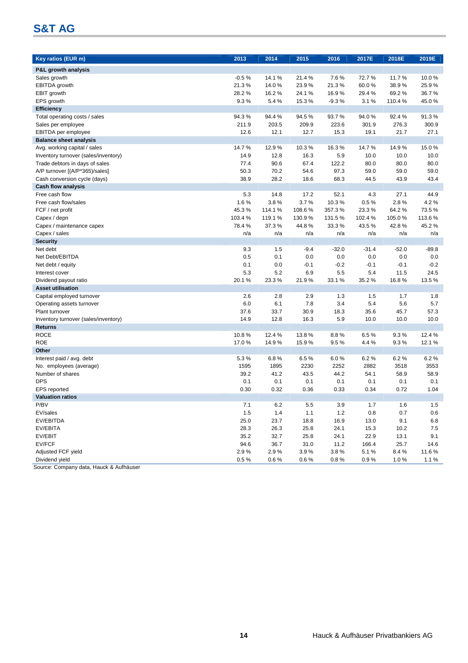| <b>Key ratios (EUR m)</b>            | 2013    | 2014    | 2015   | 2016    | 2017E   | 2018E   | 2019E   |
|--------------------------------------|---------|---------|--------|---------|---------|---------|---------|
|                                      |         |         |        |         |         |         |         |
| <b>P&amp;L growth analysis</b>       |         |         |        |         |         |         |         |
| Sales growth                         | $-0.5%$ | 14.1%   | 21.4%  | 7.6%    | 72.7%   | 11.7%   | 10.0%   |
| EBITDA growth                        | 21.3%   | 14.0%   | 23.9%  | 21.3%   | 60.0%   | 38.9%   | 25.9%   |
| EBIT growth                          | 28.2%   | 16.2%   | 24.1%  | 16.9%   | 29.4%   | 69.2%   | 36.7%   |
| EPS growth                           | 9.3%    | 5.4%    | 15.3%  | $-9.3%$ | 3.1%    | 110.4 % | 45.0%   |
| <b>Efficiency</b>                    |         |         |        |         |         |         |         |
| Total operating costs / sales        | 94.3%   | 94.4%   | 94.5%  | 93.7%   | 94.0%   | 92.4 %  | 91.3%   |
| Sales per employee                   | 211.9   | 203.5   | 209.9  | 223.6   | 301.9   | 276.3   | 300.9   |
| <b>EBITDA</b> per employee           | 12.6    | 12.1    | 12.7   | 15.3    | 19.1    | 21.7    | 27.1    |
| <b>Balance sheet analysis</b>        |         |         |        |         |         |         |         |
| Avg. working capital / sales         | 14.7%   | 12.9%   | 10.3%  | 16.3%   | 14.7%   | 14.9%   | 15.0%   |
| Inventory turnover (sales/inventory) | 14.9    | 12.8    | 16.3   | 5.9     | 10.0    | 10.0    | 10.0    |
| Trade debtors in days of sales       | 77.4    | 90.6    | 67.4   | 122.2   | 80.0    | 80.0    | 80.0    |
| A/P turnover [(A/P*365)/sales]       | 50.3    | 70.2    | 54.6   | 97.3    | 59.0    | 59.0    | 59.0    |
| Cash conversion cycle (days)         | 38.9    | 28.2    | 18.6   | 68.3    | 44.5    | 43.9    | 43.4    |
| <b>Cash flow analysis</b>            |         |         |        |         |         |         |         |
| Free cash flow                       | 5.3     | 14.8    | 17.2   | 52.1    | 4.3     | 27.1    | 44.9    |
| Free cash flow/sales                 | 1.6%    | 3.8%    | 3.7%   | 10.3%   | 0.5%    | 2.8%    | 4.2%    |
| FCF / net profit                     | 45.3%   | 114.1%  | 108.6% | 357.3%  | 23.3%   | 64.2%   | 73.5%   |
| Capex / depn                         | 103.4%  | 119.1 % | 130.9% | 131.5%  | 102.4 % | 105.0%  | 113.6%  |
| Capex / maintenance capex            | 78.4%   | 37.3%   | 44.8%  | 33.3%   | 43.5%   | 42.8%   | 45.2%   |
| Capex / sales                        | n/a     | n/a     | n/a    | n/a     | n/a     | n/a     | n/a     |
| <b>Security</b>                      |         |         |        |         |         |         |         |
| Net debt                             | 9.3     | 1.5     | $-9.4$ | $-32.0$ | $-31.4$ | $-52.0$ | $-89.8$ |
| Net Debt/EBITDA                      | 0.5     | 0.1     | 0.0    | 0.0     | 0.0     | 0.0     | 0.0     |
| Net debt / equity                    | 0.1     | 0.0     | $-0.1$ | $-0.2$  | $-0.1$  | $-0.1$  | $-0.2$  |
| Interest cover                       | 5.3     | 5.2     | 6.9    | 5.5     | 5.4     | 11.5    | 24.5    |
| Dividend payout ratio                | 20.1%   | 23.3%   | 21.9%  | 33.1 %  | 35.2%   | 16.8%   | 13.5%   |
| <b>Asset utilisation</b>             |         |         |        |         |         |         |         |
| Capital employed turnover            | 2.6     | 2.8     | 2.9    | 1.3     | 1.5     | 1.7     | 1.8     |
| Operating assets turnover            | 6.0     | 6.1     | 7.8    | 3.4     | 5.4     | 5.6     | 5.7     |
| Plant turnover                       | 37.6    | 33.7    | 30.9   | 18.3    | 35.6    | 45.7    | 57.3    |
| Inventory turnover (sales/inventory) | 14.9    | 12.8    | 16.3   | 5.9     | 10.0    | 10.0    | 10.0    |
| <b>Returns</b>                       |         |         |        |         |         |         |         |
| <b>ROCE</b>                          | 10.8%   | 12.4 %  | 13.8%  | 8.8%    | 6.5%    | 9.3%    | 12.4 %  |
| <b>ROE</b>                           | 17.0%   | 14.9%   | 15.9%  | 9.5%    | 4.4%    | 9.3%    | 12.1%   |
| Other                                |         |         |        |         |         |         |         |
| Interest paid / avg. debt            | 5.3%    | 6.8%    | 6.5%   | 6.0%    | 6.2%    | 6.2%    | 6.2%    |
| No. employees (average)              | 1595    | 1895    | 2230   | 2252    | 2882    | 3518    | 3553    |
| Number of shares                     | 39.2    | 41.2    | 43.5   | 44.2    | 54.1    | 58.9    | 58.9    |
| <b>DPS</b>                           | 0.1     | 0.1     | 0.1    | 0.1     | 0.1     | 0.1     | 0.1     |
| <b>EPS</b> reported                  | 0.30    | 0.32    | 0.36   | 0.33    | 0.34    | 0.72    | 1.04    |
| <b>Valuation ratios</b>              |         |         |        |         |         |         |         |
| P/BV                                 | $7.1$   | 6.2     | 5.5    | $3.9\,$ | 1.7     | $1.6$   | 1.5     |
| EV/sales                             | 1.5     | 1.4     | 1.1    | 1.2     | 0.8     | 0.7     | 0.6     |
| EV/EBITDA                            | 25.0    | 23.7    | 18.8   | 16.9    | 13.0    | 9.1     | 6.8     |
| EV/EBITA                             | 28.3    | 26.3    | 25.8   | 24.1    | 15.3    | 10.2    | 7.5     |
| EV/EBIT                              | 35.2    | 32.7    | 25.8   | 24.1    | 22.9    | 13.1    | 9.1     |
| EV/FCF                               | 94.6    | 36.7    | 31.0   | 11.2    | 166.4   | 25.7    | 14.6    |
| Adjusted FCF yield                   | 2.9%    | 2.9%    | 3.9%   | 3.8%    | 5.1%    | 8.4%    | 11.6%   |
| Dividend yield                       | 0.5%    | 0.6 %   | 0.6%   | 0.8%    | 0.9%    | 1.0%    | 1.1%    |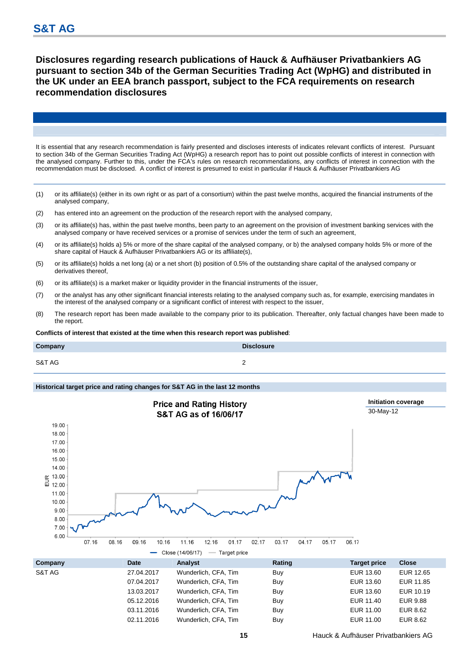**Disclosures regarding research publications of Hauck & Aufhäuser Privatbankiers AG pursuant to section 34b of the German Securities Trading Act (WpHG) and distributed in the UK under an EEA branch passport, subject to the FCA requirements on research recommendation disclosures** 

It is essential that any research recommendation is fairly presented and discloses interests of indicates relevant conflicts of interest. Pursuant to section 34b of the German Securities Trading Act (WpHG) a research report has to point out possible conflicts of interest in connection with the analysed company. Further to this, under the FCA's rules on research recommendations, any conflicts of interest in connection with the recommendation must be disclosed. A conflict of interest is presumed to exist in particular if Hauck & Aufhäuser Privatbankiers AG

- (1) or its affiliate(s) (either in its own right or as part of a consortium) within the past twelve months, acquired the financial instruments of the analysed company,
- (2) has entered into an agreement on the production of the research report with the analysed company,
- (3) or its affiliate(s) has, within the past twelve months, been party to an agreement on the provision of investment banking services with the analysed company or have received services or a promise of services under the term of such an agreement,
- (4) or its affiliate(s) holds a) 5% or more of the share capital of the analysed company, or b) the analysed company holds 5% or more of the share capital of Hauck & Aufhäuser Privatbankiers AG or its affiliate(s),
- (5) or its affiliate(s) holds a net long (a) or a net short (b) position of 0.5% of the outstanding share capital of the analysed company or derivatives thereof,
- (6) or its affiliate(s) is a market maker or liquidity provider in the financial instruments of the issuer,
- (7) or the analyst has any other significant financial interests relating to the analysed company such as, for example, exercising mandates in the interest of the analysed company or a significant conflict of interest with respect to the issuer,
- (8) The research report has been made available to the company prior to its publication. Thereafter, only factual changes have been made to the report.

**Conflicts of interest that existed at the time when this research report was published**:

| Company | <b>Disclosure</b> |
|---------|-------------------|
| S&T AG  | -                 |

### **Historical target price and rating changes for S&T AG in the last 12 months**



02.11.2016 Wunderlich, CFA, Tim Buy EUR 11.00 EUR 8.62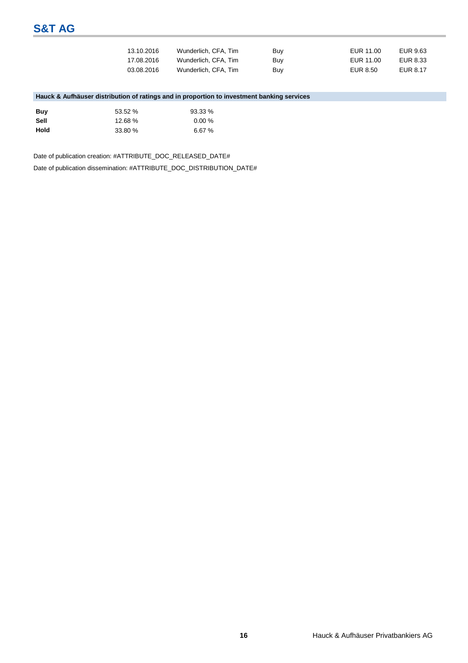| 13.10.2016 | Wunderlich, CFA, Tim | Buy | EUR 11.00 | EUR 9.63 |
|------------|----------------------|-----|-----------|----------|
| 17.08.2016 | Wunderlich, CFA, Tim | Buy | EUR 11.00 | EUR 8.33 |
| 03.08.2016 | Wunderlich, CFA, Tim | Buy | EUR 8.50  | EUR 8.17 |

### **Hauck & Aufhäuser distribution of ratings and in proportion to investment banking services**

| Buv  | 53.52 % | 93.33%    |
|------|---------|-----------|
| Sell | 12.68%  | $0.00 \%$ |
| Hold | 33.80 % | 6.67%     |

Date of publication creation: #ATTRIBUTE\_DOC\_RELEASED\_DATE#

Date of publication dissemination: #ATTRIBUTE\_DOC\_DISTRIBUTION\_DATE#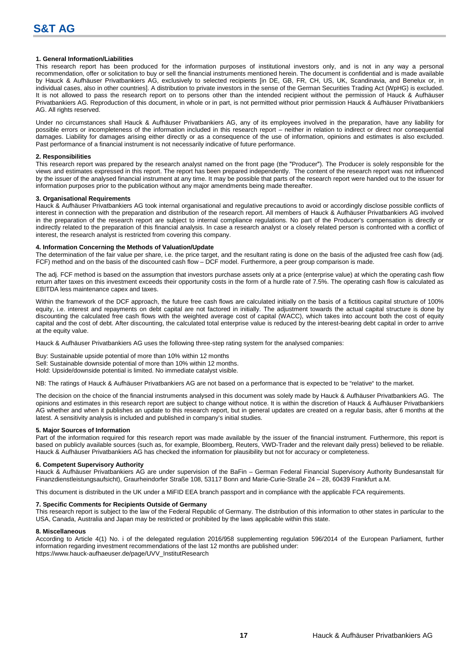### **1. General Information/Liabilities**

This research report has been produced for the information purposes of institutional investors only, and is not in any way a personal recommendation, offer or solicitation to buy or sell the financial instruments mentioned herein. The document is confidential and is made available by Hauck & Aufhäuser Privatbankiers AG, exclusively to selected recipients [in DE, GB, FR, CH, US, UK, Scandinavia, and Benelux or, in individual cases, also in other countries]. A distribution to private investors in the sense of the German Securities Trading Act (WpHG) is excluded. It is not allowed to pass the research report on to persons other than the intended recipient without the permission of Hauck & Aufhäuser Privatbankiers AG. Reproduction of this document, in whole or in part, is not permitted without prior permission Hauck & Aufhäuser Privatbankiers AG. All rights reserved.

Under no circumstances shall Hauck & Aufhäuser Privatbankiers AG, any of its employees involved in the preparation, have any liability for possible errors or incompleteness of the information included in this research report – neither in relation to indirect or direct nor consequential damages. Liability for damages arising either directly or as a consequence of the use of information, opinions and estimates is also excluded. Past performance of a financial instrument is not necessarily indicative of future performance.

### **2. Responsibilities**

This research report was prepared by the research analyst named on the front page (the "Producer"). The Producer is solely responsible for the views and estimates expressed in this report. The report has been prepared independently. The content of the research report was not influenced by the issuer of the analysed financial instrument at any time. It may be possible that parts of the research report were handed out to the issuer for information purposes prior to the publication without any major amendments being made thereafter.

#### **3. Organisational Requirements**

Hauck & Aufhäuser Privatbankiers AG took internal organisational and regulative precautions to avoid or accordingly disclose possible conflicts of interest in connection with the preparation and distribution of the research report. All members of Hauck & Aufhäuser Privatbankiers AG involved in the preparation of the research report are subject to internal compliance regulations. No part of the Producer's compensation is directly or indirectly related to the preparation of this financial analysis. In case a research analyst or a closely related person is confronted with a conflict of interest, the research analyst is restricted from covering this company.

### **4. Information Concerning the Methods of Valuation/Update**

The determination of the fair value per share, i.e. the price target, and the resultant rating is done on the basis of the adjusted free cash flow (adj. FCF) method and on the basis of the discounted cash flow – DCF model. Furthermore, a peer group comparison is made.

The adj. FCF method is based on the assumption that investors purchase assets only at a price (enterprise value) at which the operating cash flow return after taxes on this investment exceeds their opportunity costs in the form of a hurdle rate of 7.5%. The operating cash flow is calculated as EBITDA less maintenance capex and taxes.

Within the framework of the DCF approach, the future free cash flows are calculated initially on the basis of a fictitious capital structure of 100% equity, i.e. interest and repayments on debt capital are not factored in initially. The adjustment towards the actual capital structure is done by discounting the calculated free cash flows with the weighted average cost of capital (WACC), which takes into account both the cost of equity capital and the cost of debt. After discounting, the calculated total enterprise value is reduced by the interest-bearing debt capital in order to arrive at the equity value.

Hauck & Aufhäuser Privatbankiers AG uses the following three-step rating system for the analysed companies:

Buy: Sustainable upside potential of more than 10% within 12 months Sell: Sustainable downside potential of more than 10% within 12 months. Hold: Upside/downside potential is limited. No immediate catalyst visible.

NB: The ratings of Hauck & Aufhäuser Privatbankiers AG are not based on a performance that is expected to be "relative" to the market.

The decision on the choice of the financial instruments analysed in this document was solely made by Hauck & Aufhäuser Privatbankiers AG. The opinions and estimates in this research report are subject to change without notice. It is within the discretion of Hauck & Aufhäuser Privatbankiers AG whether and when it publishes an update to this research report, but in general updates are created on a regular basis, after 6 months at the latest. A sensitivity analysis is included and published in company's initial studies.

### **5. Major Sources of Information**

Part of the information required for this research report was made available by the issuer of the financial instrument. Furthermore, this report is based on publicly available sources (such as, for example, Bloomberg, Reuters, VWD-Trader and the relevant daily press) believed to be reliable. Hauck & Aufhäuser Privatbankiers AG has checked the information for plausibility but not for accuracy or completeness.

### **6. Competent Supervisory Authority**

Hauck & Aufhäuser Privatbankiers AG are under supervision of the BaFin – German Federal Financial Supervisory Authority Bundesanstalt für Finanzdienstleistungsaufsicht), Graurheindorfer Straße 108, 53117 Bonn and Marie-Curie-Straße 24 – 28, 60439 Frankfurt a.M.

This document is distributed in the UK under a MiFID EEA branch passport and in compliance with the applicable FCA requirements.

### **7. Specific Comments for Recipients Outside of Germany**

This research report is subject to the law of the Federal Republic of Germany. The distribution of this information to other states in particular to the USA, Canada, Australia and Japan may be restricted or prohibited by the laws applicable within this state.

#### **8. Miscellaneous**

According to Article 4(1) No. i of the delegated regulation 2016/958 supplementing regulation 596/2014 of the European Parliament, further information regarding investment recommendations of the last 12 months are published under: https://www.hauck-aufhaeuser.de/page/UVV\_InstitutResearch